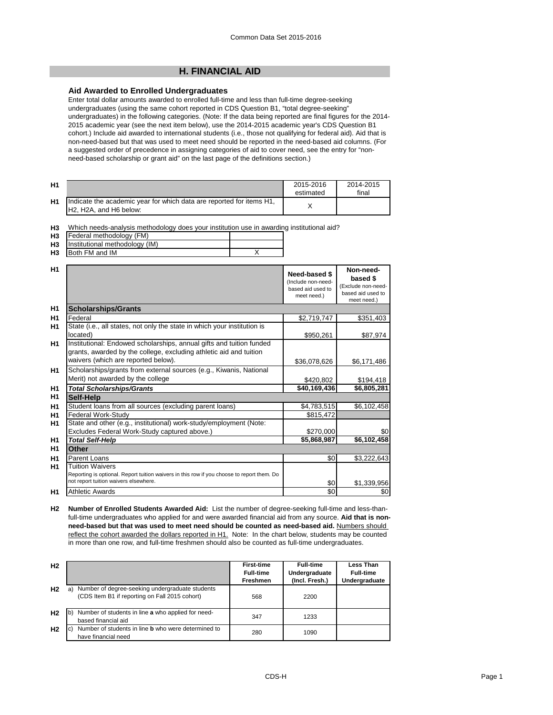# **H. FINANCIAL AID**

### **Aid Awarded to Enrolled Undergraduates**

Enter total dollar amounts awarded to enrolled full-time and less than full-time degree-seeking undergraduates (using the same cohort reported in CDS Question B1, "total degree-seeking" undergraduates) in the following categories. (Note: If the data being reported are final figures for the 2014- 2015 academic year (see the next item below), use the 2014-2015 academic year's CDS Question B1 cohort.) Include aid awarded to international students (i.e., those not qualifying for federal aid). Aid that is non-need-based but that was used to meet need should be reported in the need-based aid columns. (For a suggested order of precedence in assigning categories of aid to cover need, see the entry for "nonneed-based scholarship or grant aid" on the last page of the definitions section.)

| H1 |                                                                                                                                      | 2015-2016<br>estimated | 2014-2015<br>final |
|----|--------------------------------------------------------------------------------------------------------------------------------------|------------------------|--------------------|
| H1 | Indicate the academic year for which data are reported for items H1,<br>H <sub>2</sub> , H <sub>2</sub> A, and H <sub>6</sub> below: |                        |                    |

**H3** Which needs-analysis methodology does your institution use in awarding institutional aid?

| <b>H3</b> | Federal methodology (FM)          |  |
|-----------|-----------------------------------|--|
|           | H3 Institutional methodology (IM) |  |
| H3        | <b>Both FM and IM</b>             |  |

| H1             |                                                                                                                                                                                   | Need-based \$<br>(Include non-need-<br>based aid used to<br>meet need.) | Non-need-<br>based \$<br>(Exclude non-need-<br>based aid used to<br>meet need.) |
|----------------|-----------------------------------------------------------------------------------------------------------------------------------------------------------------------------------|-------------------------------------------------------------------------|---------------------------------------------------------------------------------|
| H1             | <b>Scholarships/Grants</b>                                                                                                                                                        |                                                                         |                                                                                 |
| H1             | Federal                                                                                                                                                                           | \$2,719,747                                                             | \$351,403                                                                       |
| H1             | State (i.e., all states, not only the state in which your institution is<br>located)                                                                                              | \$950,261                                                               | \$87,974                                                                        |
| H <sub>1</sub> | Institutional: Endowed scholarships, annual gifts and tuition funded<br>grants, awarded by the college, excluding athletic aid and tuition<br>waivers (which are reported below). | \$36,078,626                                                            | \$6,171,486                                                                     |
| H <sub>1</sub> | Scholarships/grants from external sources (e.g., Kiwanis, National<br>Merit) not awarded by the college                                                                           | \$420,802                                                               | \$194,418                                                                       |
| <b>H1</b>      | <b>Total Scholarships/Grants</b>                                                                                                                                                  | \$40,169,436                                                            | \$6,805,281                                                                     |
| H1             | Self-Help                                                                                                                                                                         |                                                                         |                                                                                 |
| H1             | Student loans from all sources (excluding parent loans)                                                                                                                           | \$4,783,515                                                             | \$6,102,458                                                                     |
| H1             | Federal Work-Study                                                                                                                                                                | \$815,472                                                               |                                                                                 |
| H1             | State and other (e.g., institutional) work-study/employment (Note:                                                                                                                |                                                                         |                                                                                 |
|                | Excludes Federal Work-Study captured above.)                                                                                                                                      | \$270,000                                                               | \$0                                                                             |
| <b>H1</b>      | <b>Total Self-Help</b>                                                                                                                                                            | \$5,868,987                                                             | \$6,102,458                                                                     |
| H1             | Other                                                                                                                                                                             |                                                                         |                                                                                 |
| H <sub>1</sub> | Parent Loans                                                                                                                                                                      | \$0                                                                     | \$3,222,643                                                                     |
| H1             | <b>Tuition Waivers</b><br>Reporting is optional. Report tuition waivers in this row if you choose to report them. Do<br>not report tuition waivers elsewhere.                     | \$0                                                                     | \$1,339,956                                                                     |
| H1             | <b>Athletic Awards</b>                                                                                                                                                            | \$0                                                                     | \$0                                                                             |

**H2 Number of Enrolled Students Awarded Aid:** List the number of degree-seeking full-time and less-thanfull-time undergraduates who applied for and were awarded financial aid from any source. **Aid that is nonneed-based but that was used to meet need should be counted as need-based aid.** Numbers should reflect the cohort awarded the dollars reported in H1. Note: In the chart below, students may be counted in more than one row, and full-time freshmen should also be counted as full-time undergraduates.

| H <sub>2</sub> |                                                                                                         | <b>First-time</b> | <b>Full-time</b> | Less Than        |
|----------------|---------------------------------------------------------------------------------------------------------|-------------------|------------------|------------------|
|                |                                                                                                         | <b>Full-time</b>  | Undergraduate    | <b>Full-time</b> |
|                |                                                                                                         | <b>Freshmen</b>   | (Incl. Fresh.)   | Undergraduate    |
| H <sub>2</sub> | Number of degree-seeking undergraduate students<br>a)<br>(CDS Item B1 if reporting on Fall 2015 cohort) | 568               | 2200             |                  |
| H <sub>2</sub> | $\mathsf{b}$<br>Number of students in line a who applied for need-<br>based financial aid               | 347               | 1233             |                  |
| H <sub>2</sub> | Number of students in line <b>b</b> who were determined to<br><sub>c</sub><br>have financial need       | 280               | 1090             |                  |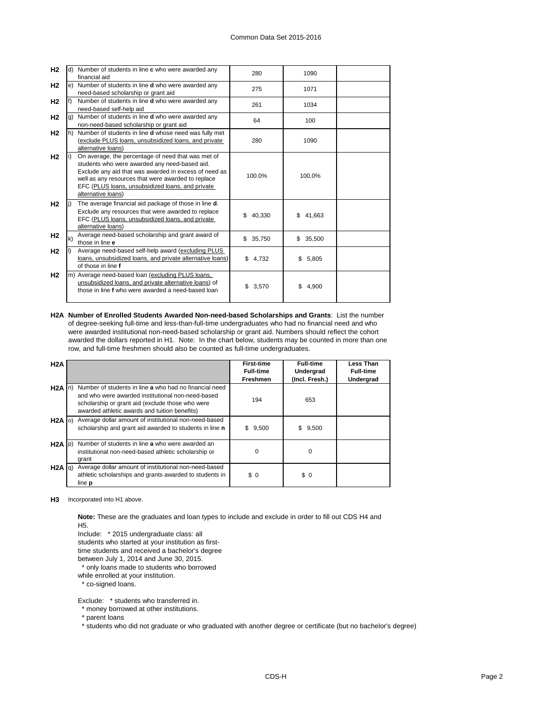| H2             |     | d) Number of students in line c who were awarded any<br>financial aid                                                                                                                                                                                                                        | 280          | 1090         |  |
|----------------|-----|----------------------------------------------------------------------------------------------------------------------------------------------------------------------------------------------------------------------------------------------------------------------------------------------|--------------|--------------|--|
| H <sub>2</sub> |     | e) Number of students in line <b>d</b> who were awarded any<br>need-based scholarship or grant aid                                                                                                                                                                                           | 275          | 1071         |  |
| H2             |     | Number of students in line <b>d</b> who were awarded any<br>need-based self-help aid                                                                                                                                                                                                         | 261          | 1034         |  |
| H <sub>2</sub> | g)  | Number of students in line <b>d</b> who were awarded any<br>non-need-based scholarship or grant aid                                                                                                                                                                                          | 64           | 100          |  |
| H <sub>2</sub> | lh) | Number of students in line d whose need was fully met<br>(exclude PLUS loans, unsubsidized loans, and private<br>alternative loans)                                                                                                                                                          | 280          | 1090         |  |
| H2             |     | On average, the percentage of need that was met of<br>students who were awarded any need-based aid.<br>Exclude any aid that was awarded in excess of need as<br>well as any resources that were awarded to replace<br>EFC (PLUS loans, unsubsidized loans, and private<br>alternative loans) | 100.0%       | 100.0%       |  |
| H <sub>2</sub> |     | The average financial aid package of those in line d.<br>Exclude any resources that were awarded to replace<br>EFC (PLUS loans, unsubsidized loans, and private<br>alternative loans)                                                                                                        | \$40,330     | \$<br>41.663 |  |
| H <sub>2</sub> | k)  | Average need-based scholarship and grant award of<br>those in line e                                                                                                                                                                                                                         | \$<br>35,750 | \$35,500     |  |
| H <sub>2</sub> |     | Average need-based self-help award (excluding PLUS<br>loans, unsubsidized loans, and private alternative loans)<br>of those in line f                                                                                                                                                        | \$4,732      | \$<br>5,805  |  |
| H <sub>2</sub> | m)  | Average need-based loan (excluding PLUS loans,<br>unsubsidized loans, and private alternative loans) of<br>those in line f who were awarded a need-based loan                                                                                                                                | \$<br>3,570  | \$.<br>4.900 |  |

**H2A Number of Enrolled Students Awarded Non-need-based Scholarships and Grants**: List the number of degree-seeking full-time and less-than-full-time undergraduates who had no financial need and who were awarded institutional non-need-based scholarship or grant aid. Numbers should reflect the cohort awarded the dollars reported in H1. Note: In the chart below, students may be counted in more than one row, and full-time freshmen should also be counted as full-time undergraduates.

| H2A         |                                                                                                                                                                                                                  | <b>First-time</b><br><b>Full-time</b><br><b>Freshmen</b> | <b>Full-time</b><br>Undergrad<br>(Incl. Fresh.) | Less Than<br><b>Full-time</b><br>Undergrad |
|-------------|------------------------------------------------------------------------------------------------------------------------------------------------------------------------------------------------------------------|----------------------------------------------------------|-------------------------------------------------|--------------------------------------------|
| $H2A \ln$   | Number of students in line a who had no financial need<br>and who were awarded institutional non-need-based<br>scholarship or grant aid (exclude those who were<br>awarded athletic awards and tuition benefits) | 194                                                      | 653                                             |                                            |
| $H2A$ (0)   | Average dollar amount of institutional non-need-based<br>scholarship and grant aid awarded to students in line n                                                                                                 | \$<br>9,500                                              | \$<br>9,500                                     |                                            |
| $H2A$ $p)$  | Number of students in line a who were awarded an<br>institutional non-need-based athletic scholarship or<br>grant                                                                                                | $\Omega$                                                 | $\Omega$                                        |                                            |
| $H2A$ $q$ ) | Average dollar amount of institutional non-need-based<br>athletic scholarships and grants awarded to students in<br>line <b>p</b>                                                                                | \$0                                                      | \$0                                             |                                            |

**H3** Incorporated into H1 above.

**Note:** These are the graduates and loan types to include and exclude in order to fill out CDS H4 and H5.

Include: \* 2015 undergraduate class: all

students who started at your institution as first-

time students and received a bachelor's degree

between July 1, 2014 and June 30, 2015.

\* only loans made to students who borrowed

while enrolled at your institution.

\* co-signed loans.

Exclude: \* students who transferred in.

\* money borrowed at other institutions.

\* parent loans

\* students who did not graduate or who graduated with another degree or certificate (but no bachelor's degree)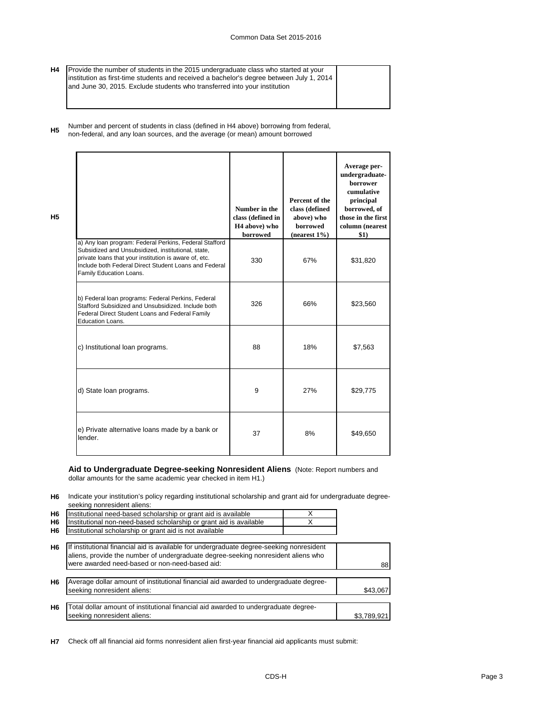- **H4** Provide the number of students in the 2015 undergraduate class who started at your institution as first-time students and received a bachelor's degree between July 1, 2014 and June 30, 2015. Exclude students who transferred into your institution
- **H5** Number and percent of students in class (defined in H4 above) borrowing from federal, non-federal, and any loan sources, and the average (or mean) amount borrowed

**H5**

|                                                                                                                                                                                                                                                           | Number in the<br>class (defined in<br>H <sub>4</sub> above) who<br>borrowed | Percent of the<br>class (defined<br>above) who<br><b>borrowed</b><br>$(nearest 1\%)$ | Average per-<br>undergraduate-<br><b>borrower</b><br>cumulative<br>principal<br>borrowed, of<br>those in the first<br>column (nearest<br>\$1) |
|-----------------------------------------------------------------------------------------------------------------------------------------------------------------------------------------------------------------------------------------------------------|-----------------------------------------------------------------------------|--------------------------------------------------------------------------------------|-----------------------------------------------------------------------------------------------------------------------------------------------|
| a) Any loan program: Federal Perkins, Federal Stafford<br>Subsidized and Unsubsidized, institutional, state,<br>private loans that your institution is aware of, etc.<br>Include both Federal Direct Student Loans and Federal<br>Family Education Loans. | 330                                                                         | 67%                                                                                  | \$31,820                                                                                                                                      |
| b) Federal loan programs: Federal Perkins, Federal<br>Stafford Subsidized and Unsubsidized. Include both<br>Federal Direct Student Loans and Federal Family<br><b>Education Loans.</b>                                                                    | 326                                                                         | 66%                                                                                  | \$23,560                                                                                                                                      |
| c) Institutional loan programs.                                                                                                                                                                                                                           | 88                                                                          | 18%                                                                                  | \$7,563                                                                                                                                       |
| d) State loan programs.                                                                                                                                                                                                                                   | 9                                                                           | 27%                                                                                  | \$29,775                                                                                                                                      |
| e) Private alternative loans made by a bank or<br>lender.                                                                                                                                                                                                 | 37                                                                          | 8%                                                                                   | \$49,650                                                                                                                                      |

#### **Aid to Undergraduate Degree-seeking Nonresident Aliens** (Note: Report numbers and dollar amounts for the same academic year checked in item H1.)

**H6** Indicate your institution's policy regarding institutional scholarship and grant aid for undergraduate degreeseeking nonresident aliens:

| H <sub>6</sub> | Institutional need-based scholarship or grant aid is available                                                                                                                                                                  |             |
|----------------|---------------------------------------------------------------------------------------------------------------------------------------------------------------------------------------------------------------------------------|-------------|
| H <sub>6</sub> | Institutional non-need-based scholarship or grant aid is available                                                                                                                                                              |             |
| H6             | Institutional scholarship or grant aid is not available                                                                                                                                                                         |             |
| H <sub>6</sub> | If institutional financial aid is available for undergraduate degree-seeking nonresident<br>aliens, provide the number of undergraduate degree-seeking nonresident aliens who<br>were awarded need-based or non-need-based aid: | 88          |
| H <sub>6</sub> | Average dollar amount of institutional financial aid awarded to undergraduate degree-<br>seeking nonresident aliens:                                                                                                            | \$43.067    |
| H <sub>6</sub> | Total dollar amount of institutional financial aid awarded to undergraduate degree-<br>seeking nonresident aliens:                                                                                                              | \$3,789,921 |

**H7** Check off all financial aid forms nonresident alien first-year financial aid applicants must submit: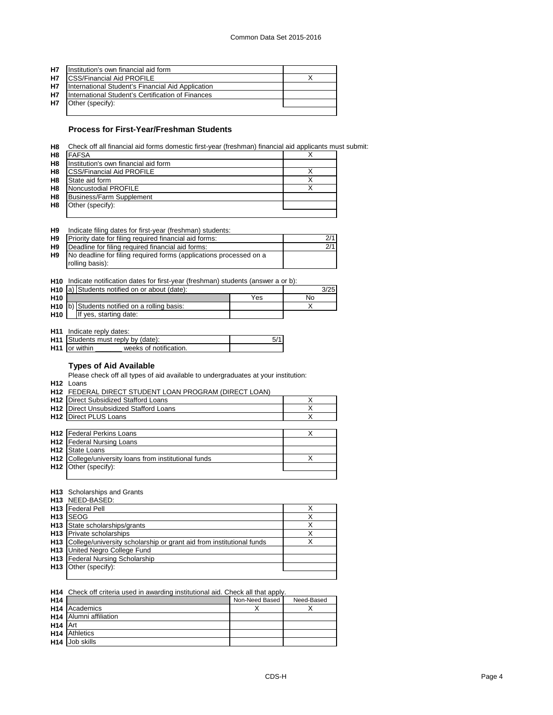| <b>H7</b> | Institution's own financial aid form              |  |
|-----------|---------------------------------------------------|--|
| <b>H7</b> | <b>ICSS/Financial Aid PROFILE</b>                 |  |
| <b>H7</b> | International Student's Financial Aid Application |  |
| <b>H7</b> | International Student's Certification of Finances |  |
| <b>H7</b> | Other (specify):                                  |  |
|           |                                                   |  |

### **Process for First-Year/Freshman Students**

**H8** Check off all financial aid forms domestic first-year (freshman) financial aid applicants must submit:

| H8             | <b>FAFSA</b>                         |  |
|----------------|--------------------------------------|--|
| H <sub>8</sub> | Institution's own financial aid form |  |
| H <sub>8</sub> | <b>CSS/Financial Aid PROFILE</b>     |  |
| H <sub>8</sub> | State aid form                       |  |
| H <sub>8</sub> | Noncustodial PROFILE                 |  |
| H <sub>8</sub> | Business/Farm Supplement             |  |
| H <sub>8</sub> | Other (specify):                     |  |
|                |                                      |  |

| Н9 | Indicate filing dates for first-year (freshman) students:          |     |
|----|--------------------------------------------------------------------|-----|
| H9 | Priority date for filing required financial aid forms:             | 2/1 |
| H9 | Deadline for filing required financial aid forms:                  | 2/1 |
| H9 | No deadline for filing required forms (applications processed on a |     |
|    | rolling basis):                                                    |     |

|                 | H <sub>10</sub> Indicate notification dates for first-year (freshman) students (answer a or b): |                                                          |     |    |      |  |
|-----------------|-------------------------------------------------------------------------------------------------|----------------------------------------------------------|-----|----|------|--|
|                 |                                                                                                 | H <sub>10</sub> a) Students notified on or about (date): |     |    | 3/25 |  |
| H <sub>10</sub> |                                                                                                 |                                                          | Yes | No |      |  |
|                 |                                                                                                 | H <sub>10</sub> b) Students notified on a rolling basis: |     |    |      |  |
| H <sub>10</sub> |                                                                                                 | If yes, starting date:                                   |     |    |      |  |

**H11** Indicate reply dates:

| H <sub>11</sub> Students must reply by (date): |                        |  |
|------------------------------------------------|------------------------|--|
| <b>H11</b> or within                           | weeks of notification. |  |
|                                                |                        |  |

## **Types of Aid Available**

Please check off all types of aid available to undergraduates at your institution:

**H12** Loans

| 1112 LUCII 13                                         |   |
|-------------------------------------------------------|---|
| H12 FEDERAL DIRECT STUDENT LOAN PROGRAM (DIRECT LOAN) |   |
| <b>H12</b> Direct Subsidized Stafford Loans           | X |
| <b>H12</b> Direct Unsubsidized Stafford Loans         | X |
| <b>H12</b> Direct PLUS Loans                          |   |
|                                                       |   |
| <b>H12</b> Federal Perkins Loans                      | Х |
| <b>H12</b> Federal Nursing Loans                      |   |
| <b>H12</b> State Loans                                |   |
| H12 College/university loans from institutional funds | Х |
| $H12$ Other (specify):                                |   |
|                                                       |   |

#### **H13** Scholarships and Grants

| <b>H13 NEED-BASED:</b>                                                   |   |
|--------------------------------------------------------------------------|---|
| <b>H13</b> Federal Pell                                                  |   |
| H <sub>13</sub> SEOG                                                     | Х |
| H <sub>13</sub> State scholarships/grants                                | Χ |
| <b>H13</b> Private scholarships                                          | х |
| H13 College/university scholarship or grant aid from institutional funds | Х |
| <b>H13</b> United Negro College Fund                                     |   |
| H13 Federal Nursing Scholarship                                          |   |
| H <sub>13</sub>   Other (specify):                                       |   |
|                                                                          |   |

#### **H14** Check off criteria used in awarding institutional aid. Check all that apply.

| H <sub>14</sub>     |                                 | Non-Need Based | Need-Based |
|---------------------|---------------------------------|----------------|------------|
|                     | <b>H<sub>14</sub></b> Academics |                |            |
|                     | <b>H14</b> Alumni affiliation   |                |            |
| H <sub>14</sub> Art |                                 |                |            |
|                     | <b>H14</b> Athletics            |                |            |
|                     | H <sub>14</sub> Job skills      |                |            |